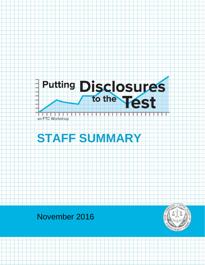

an FTC Workshop



# November 2016

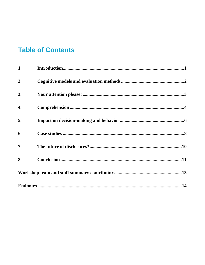# **Table of Contents**

| 1.  |  |  |
|-----|--|--|
| 2.  |  |  |
| 3.  |  |  |
| 4.  |  |  |
| 5.  |  |  |
| 6.  |  |  |
| 7.  |  |  |
| 8.  |  |  |
|     |  |  |
| .14 |  |  |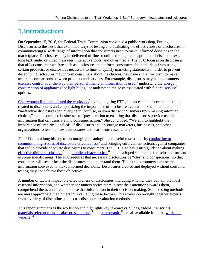## <span id="page-2-0"></span>**1.Introduction**

On September 15, 2016, the Federal Trade Commission convened a public workshop, Putting Disclosures to the Test, that examined ways of testing and evaluating the effectiveness of disclosures in communicating a wide range of information that consumers need to make informed decisions in the marketplace. Disclosures may be delivered offline or online through icons, product labels, short text, long text, audio or video messages, interactive tools, and other media. The FTC focuses on disclosures that affect consumer welfare such as disclosures that inform consumers about the risks from using certain products, or disclosures necessary to limit or qualify marketing statements in order to prevent deception. Disclosures may inform consumers about the choices they have and allow them to make accurate comparisons between products and services. For example, disclosures may help consumers [exercise control over the way their personal financial information is used,](https://www.consumer.ftc.gov/articles/0222-privacy-choices-your-personal-financial-information)<sup>[1](#page-16-0)</sup> understand the energy [consumption of appliances](https://www.consumer.ftc.gov/articles/0072-shopping-home-appliances-use-energyguide-label)<sup>[2](#page-16-1)</sup> or [light bulbs,](https://www.consumer.ftc.gov/articles/0164-shopping-light-bulbs)<sup>[3](#page-16-2)</sup> or understand the costs associated with <u>funeral service</u><sup>[4](#page-16-3)</sup> options.

[Chairwoman Ramirez opened the workshop](https://www.ftc.gov/system/files/documents/public_events/950633/ramirez_-_disclosure_workshop_opening_remarks_9-15-16.pdf)<sup>[5](#page-16-4)</sup> by highlighting FTC guidance and enforcement actions related to disclosures and emphasizing the importance of disclosure evaluation. She noted that "ineffective disclosures can overwhelm, confuse, or even distract consumers from making informed choices," and encouraged businesses to "pay attention to ensuring that disclosures provide useful information that can translate into consumer action." She concluded, "We aim to highlight the importance of empirical analysis of disclosures and encourage marketers, businesses, and other organizations to test their own disclosures and learn from researchers."

The FTC has a long history of encouraging meaningful and useful disclosures by [conducting or](https://www.ftc.gov/news-events/blogs/techftc/2016/09/ftc-disclosure-evaluation-research-archives)   $commissioning studies of disclosure effectiveness<sup>6</sup> and bringing enforcement actions against companies$  $commissioning studies of disclosure effectiveness<sup>6</sup> and bringing enforcement actions against companies$  $commissioning studies of disclosure effectiveness<sup>6</sup> and bringing enforcement actions against companies$  $commissioning studies of disclosure effectiveness<sup>6</sup> and bringing enforcement actions against companies$ that fail to provide adequate disclosures to consumers. The FTC also has issued guidance about making [effective digital disclosures](https://www.ftc.gov/tips-advice/business-center/guidance/com-disclosures-how-make-effective-disclosures-digital)<sup>[7](#page-16-6)</sup> and [mobile privacy notices](https://www.ftc.gov/sites/default/files/documents/reports/mobile-privacy-disclosures-building-trust-through-transparency-federal-trade-commission-staff-report/130201mobileprivacyreport.pdf)<sup>[8](#page-16-7)</sup> and developed standardized disclosure formats in some specific areas. The FTC requires that necessary disclosures be "clear and conspicuous" so that consumers will see or hear the disclosures and understand them. This is so consumers can use the information conveyed to make informed decisions. Disclosures created and deployed without consumer testing may not achieve these objectives.

A number of factors impact the effectiveness of disclosures, including whether they contain the most essential information, and whether consumers notice them, direct their attention towards them, comprehend them, and are able to use that information in their decision-making. Some testing methods are more appropriate than others for evaluating these factors. This workshop brought together experts from a variety of disciplines to discuss disclosure evaluation methods.

This report summarizes the workshop and highlights key takeaways. Slides, videos, transcripts, [materials referenced in speaker presentations,](https://www.ftc.gov/system/files/documents/public_events/950633/links_by_panel9-19-16.pdf)<sup>[9](#page-16-8)</sup> and [photographs](https://www.facebook.com/federaltradecommission/photos/?tab=album&album_id=1439278526089000)<sup>[10](#page-16-9)</sup> are all available from the workshop [website.](https://www.ftc.gov/testingdisclosures)<sup>[11](#page-16-10)</sup>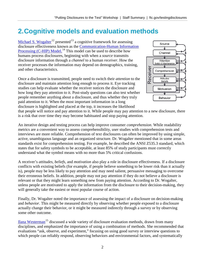## <span id="page-3-0"></span>**2.Cognitive models and evaluation methods**

[Michael S. Wogalter](http://psychology.chass.ncsu.edu/faculty_staff/mswogalter.php)<sup>[12](#page-16-11)</sup> presented<sup>[13](#page-16-12)</sup> a cognitive framework for assessing disclosure effectiveness known as the [Communication-Human Information](http://www.safetyhumanfactors.org/wp-content/uploads/2011/12/271Wogalter2006Chap5.pdf)  [Processing \(C-HIP\) Model.](http://www.safetyhumanfactors.org/wp-content/uploads/2011/12/271Wogalter2006Chap5.pdf)<sup>[14](#page-16-13)</sup> This model can be used to describe how humans process disclosures, beginning with when a *source* transmits disclosure information through a *channel* to a human *receiver*. How the receiver processes the information may depend on demographics, training, and other characteristics.

Once a disclosure is transmitted, people need to switch their *attention* to the disclosure and maintain attention long enough to process it. Eye tracking studies can help evaluate whether the receiver notices the disclosure and how long they pay attention to it. Post-study questions can also test whether people remember anything about a disclosure, and thus whether they truly paid attention to it. When the most important information in a long disclosure is highlighted and placed at the top, it increases the likelihood



that people will notice and pay attention to it. While people may pay attention to a new disclosure, there is a risk that over time they may become habituated and stop paying attention.

An iterative design and testing process can help improve consumer *comprehension*. While readability metrics are a convenient way to assess comprehensibility, user studies with comprehension tests and interviews are more reliable. Comprehension of text disclosures can often be improved by using simple, active, unambiguous language and an organized structure. Dr. Wogalter mentioned that in some areas standards exist for comprehension testing. For example, he described the ANSI Z535.3 standard, which states that for safety symbols to be acceptable, at least 85% of study participants must correctly understand what the symbol means with no more than 5% critical confusions.

A receiver's *attitudes*, *beliefs*, and *motivation* also play a role in disclosure effectiveness. If a disclosure conflicts with existing beliefs (for example, if people believe something to be lower risk than it actually is), people may be less likely to pay attention and may need salient, persuasive messaging to overcome their erroneous beliefs. In addition, people may not pay attention if they do not believe a disclosure is relevant or that they might learn something new from paying attention. According to Dr. Wogalter, unless people are motivated to apply the information from the disclosure to their decision-making, they will generally take the easiest or most popular course of action.

Finally, Dr. Wogalter noted the importance of assessing the impact of a disclosure on decision-making and *behavior*. This might be measured directly by observing whether people exposed to a disclosure actually change their behavior, or it might be measured indirectly through a survey or by observing some other outcome.

[Ilana Westerman](https://iapp.org/about/person/0011a00000DlICIAA3/)<sup>[15](#page-16-14)</sup> discussed a wide variety of disclosure evaluation methods, drawn from many disciplines, and emphasized the importance of using a combination of methods. She recommended that evaluations "ask, observe, and experiment," focusing on using good survey or interview questions to which people can reliably respond, observing behaviors and environmental factors, and systematically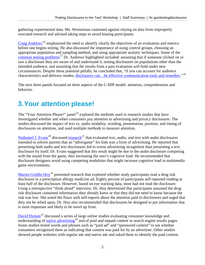gathering experimental data. Ms. Westerman cautioned against relying on data from improperly executed research and advised taking steps to avoid biasing participants.

 $Craig$  Andrews<sup>[16](#page-16-15)</sup> emphasized the need to identify clearly the objectives of an evaluation and metrics before one begins testing. He also discussed the importance of using control groups, choosing an appropriate population and sampling method, and using appropriate analytic techniques. Some of the [common testing problems](https://www.ftc.gov/system/files/attachments/putting-disclosures-test-materials/pechmann_and_andrews_2011_wiley_international_encyclopedia_of_marketing.pdf)<sup>[17](#page-16-16)</sup> Dr. Andrews highlighted included: assuming that if someone clicked on or saw a disclosure they are aware of and understand it, testing disclosures on populations other than the intended audience, and assuming that the results from a past evaluation will hold under new circumstances. Despite these potential pitfalls, he concluded that, "if you can account for audience characteristics and delivery modes, disclosures can...be effective communication tools and remedies."<sup>[18](#page-16-17)</sup>

The next three panels focused on three aspects of the C-HIP model: attention, comprehension and behavior.

# <span id="page-4-0"></span>**3.Your attention please!**

The "Your Attention Please!" panel<sup>[19](#page-16-18)</sup> explored the methods used in research studies that have investigated whether and when consumers pay attention to advertising and privacy disclosures. The studies discussed the impact of text vs. audio modality, wording, presentation, position, and timing of disclosures on attention, and used multiple methods to measure attention.

[Nathaniel J. Evans](http://grady.uga.edu/directory/profile/evans)<sup>[20](#page-16-19)</sup> discussed [research](https://www.ftc.gov/system/files/attachments/putting-disclosures-test-materials/parents_presumed_persuasion_knowledge_of_children_s_advergames_the_influence_of_advertising.pdf)<sup>[21](#page-16-20)</sup> that evaluated text, audio, and text with audio disclosures intended to inform parents that an "advergame" for kids was a form of advertising. He reported that presenting both audio and text disclosures led to worse advertising recognition than presenting a text disclosure by itself. Dr. Evans suggested that this result might be due to the audio disclosure competing with the sound from the game, thus increasing the user's cognitive load. He recommended that disclosure designers avoid using competing modalities that might increase cognitive load in multimedia game environments.

Mariea Grubbs  $\text{Hoy}^{22}$  $\text{Hoy}^{22}$  $\text{Hoy}^{22}$  presented research that explored whether study participants read a drug risk disclosure in a prescription allergy medicine ad. Eighty percent of participants self-reported reading at least half of the disclosure. However, based on eye tracking data, most had not read the disclosure. Using a retrospective "think aloud" interview, Dr. Hoy determined that participants assumed the drug risk disclosure contained information they already knew or that they did not need to know because the risk was low. She noted the flaws with self-reports about the attention paid to disclosures and urged that they not be relied upon. Dr. Hoy also recommended that disclosures be designed to put information that is most important and likely to be novel up front.

[David Hyman](https://www.law.illinois.edu/faculty/profile/davidhyman)<sup>[23](#page-16-22)</sup> discussed a series of large online studies evaluating consumer knowledge and  $\overline{u}$  understanding of [native advertising](http://papers.ssrn.com/sol3/papers.cfm?abstract_id=2816655)<sup>[24](#page-16-23)</sup> and of paid and unpaid content in search engine results pages. Some studies tested words and phrases such as "paid ad" and "sponsored content" to see whether consumers recognized them as indicating that content was paid for by an advertiser. Other studies showed people websites with regular ads and native ads and asked them to identify the paid content.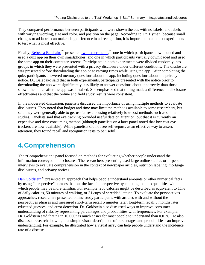They compared performance between participants who were shown the ads with no labels, and labels with varying wording, size and color, and position on the page. According to Dr. Hyman, because small changes to ad labels can make a big difference in ad recognition, it is important to conduct experiments to test what is most effective.

Finally, [Rebecca Balebako](http://www.rebeccahunt.com/)<sup>[25](#page-16-24)</sup> presented [two experiments,](http://www.rebeccahunt.com/academic/timing-balebako.pdf)<sup>[26](#page-16-25)</sup> one in which participants downloaded and used a quiz app on their own smartphones, and one in which participants virtually downloaded and used the same app on their computer screens. Participants in both experiments were divided randomly into groups in which they were presented with a privacy disclosure under different conditions. The disclosure was presented before downloading the app or at varying times while using the app. After completing the quiz, participants answered memory questions about the app, including questions about the privacy notice. Dr. Balebako said that in both experiments, participants presented with the notice prior to downloading the app were significantly less likely to answer questions about it correctly than those shown the notice after the app was installed. She emphasized that timing made a difference in disclosure effectiveness and that the online and field study results were consistent.

In the moderated discussion, panelists discussed the importance of using multiple methods to evaluate disclosures. They noted that budget and time may limit the methods available to some researchers, but said they were generally able to get useful results using relatively low-cost methods such as online studies. Panelists said that eye tracking provided useful data on attention, but that it is currently an expensive and time consuming method (although panelists on a later panel noted that low cost eye trackers are now available). While panelists did not see self-reports as an effective way to assess attention, they found recall and recognition tests to be useful.

# <span id="page-5-0"></span>**4.Comprehension**

The "Comprehension" panel focused on methods for evaluating whether people understand the information conveyed in disclosures. The researchers presenting used large online studies or in-person interviews to evaluate comprehension in the context of newspaper articles, nutrition labeling, mortgage disclosures, and privacy notices.

[Dan Goldstein](http://dangoldstein.com/)<sup>[27](#page-16-26)</sup> presented an approach that helps people understand amounts or other numerical facts by using "perspective" phrases that put the facts in perspective by equating them to quantities with which people may be more familiar. For example, 250 calories might be described as equivalent to 11% of daily calories, 50 minutes of walking, or 31 cups of shredded lettuce. To evaluate the perspectives approaches, researchers presented online study participants with articles with and without the perspectives phrases and measured short-term recall 5 minutes later, long-term recall 3 months later, educated guesses, and error detection. Dr. Goldstein also discussed ways to improve consumer understanding of risks by representing percentages and probabilities with frequencies. For example, Dr. Goldstein said that "1 in 10,000" is much easier for most people to understand than 0.01%. He also discussed research showing that simple visual descriptions of percentages and probabilities can improve understanding. For example, he illustrated how a visual array can help people understand the incidence rate of a disease.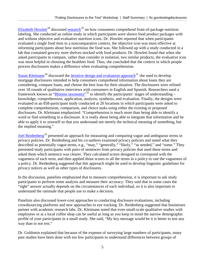[Elizabeth Howlett](http://marketing.uark.edu/directory.php?id=ehowlett)<sup>[28](#page-16-27)</sup> discussed [research](https://www.ftc.gov/system/files/attachments/putting-disclosures-test-materials/jcr_howlett.pdf)<sup>[29](#page-16-28)</sup> on how consumers comprehend front-of-package nutrition labeling. She conducted an online study in which participants were shown food product packages with and without objective and evaluative nutrition icons. Dr. Howlett reported that when participants evaluated a single food item in a noncomparative context, the objective icon was most effective at informing participants about how nutritious the food was. She followed up with a study conducted in a lab that contained grocery store shelves stocked with food products. Dr. Howlett found that when she asked participants to compare, rather than consider in isolation, two similar products, the evaluative icon was most helpful in choosing the healthier food. Thus, she concluded that the context in which people process disclosures makes a difference when evaluating comprehension.

[Susan Kleimann](http://www.kleimann.com/teamCore.html)<sup>[30](#page-16-29)</sup> discussed the *iterative design and evaluation approach*<sup>[31](#page-16-30)</sup> she used to develop mortgage disclosures intended to help consumers comprehend information about loans they are considering, compare loans, and choose the best loan for their situation. The disclosures were refined over 18 rounds of qualitative interviews with consumers in English and Spanish. Researchers used a framework known as ["Blooms taxonomy"](http://bloomstaxonomy.org/Blooms%20Taxonomy%20questions.pdf)<sup>[32](#page-16-31)</sup> to identify the participants' stages of understanding – knowledge, comprehension, application, analysis, synthesis, and evaluation. Finally, the designs were evaluated in an 858-participant study conducted at 20 locations in which participants were asked to complete comprehension, comparison, and choice tasks using either the existing or proposed disclosures. Dr. Kleimann emphasized: "Comprehension is much more than being able to identify a word or find something in a disclosure. It is really about being able to integrate that information and be able to apply it to yourself so that you understand not merely the technical meaning of something, but the implied meaning."

[Joel Reidenberg](https://www.fordham.edu/info/23175/joel_reidenberg)<sup>[33](#page-16-32)</sup> presented an approach for measuring and comparing vague and ambiguous terms in privacy policies. Dr. Reidenberg and his co-authors examined privacy policies and noted what they described as potentially vague terms, e.g., "may," "generally," "likely," "as needed," and "some." They presented study participants with pairs of sentences from privacy policies that used these terms and asked them which sentence was clearer. They calculated scores designed to correspond with the vagueness of each term, and then applied those scores to all the terms in a policy to rate the vagueness of a policy. Dr. Reidenberg suggested that this approach might be used to develop linguistic guidelines for privacy notices as well as other types of disclosures.

In the discussion, panelists emphasized that to measure comprehension, it is important to ask study participants to perform some analysis and measure their accuracy. They said that in some cases the "right" answer actually depends on the circumstances of each individual, so it is also important to understand the rationale that people use to make a decision.

Panelists also discussed lower-cost approaches to conducting disclosure evaluations, including crowdsourcing platforms and new approaches to eye tracking. Dr. Reidenberg suggested that businesses partner with academic research labs. Dr. Kleimann noted that even small-scale qualitative studies with employees or at a local coffee shop can be useful as long as you keep in mind the narrow demographic profile of your participants in a small study. She said, "My key message would be it is better to test any way than to not test."

Dr. Goldstein explained that because of the expense of surveying large numbers of participants, many past studies have been done with too few participants to understand differences between groups of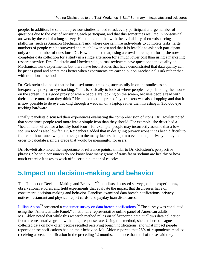people. In addition, he said that previous studies tended to ask every participant a large number of questions due to the cost of recruiting each participant, and that this sometimes resulted in nonsensical answers by the end of a long survey. He pointed out that with the availability of crowdsourcing platforms, such as Amazon Mechanical Turk, where one can hire individuals to complete tasks, large numbers of people can be surveyed at a much lower cost and that it is feasible to ask each participant only a small number of questions. Dr. Howlett added that, using a crowdsourcing platform, she now completes data collection for a study in a single afternoon for a much lower cost than using a marketing research service. Drs. Goldstein and Howlett said journal reviewers have questioned the quality of Mechanical Turk experiments, but there have been studies that have demonstrated that data quality can be just as good and sometimes better when experiments are carried out on Mechanical Turk rather than with traditional methods.

Dr. Goldstein also noted that he has used mouse tracking successfully in online studies as an inexpensive proxy for eye tracking: "This is basically to look at where people are positioning the mouse on the screen. It is a good proxy of where people are looking on the screen, because people read with their mouse more than they think." He added that the price of eye trackers was also dropping and that it is now possible to do eye tracking through a webcam on a laptop rather than investing in \$30,000 eye tracking hardware.

Finally, panelists discussed their experiences evaluating the comprehension of icons. Dr. Howlett noted that sometimes people read more into a simple icon than they should. For example, she described a "health halo" effect for a healthy food icon – for example, people may incorrectly assume that a low sodium food is also low fat. Dr. Reidenberg added that in designing privacy icons it has been difficult to figure out how much weight to assign to the many factors that go into evaluating a privacy policy in order to calculate a single grade that would be meaningful for users.

Dr. Howlett also noted the importance of reference points, similar to Dr. Goldstein's perspective phrases. She said consumers do not know how many grams of trans fat or sodium are healthy or how much exercise it takes to work off a certain number of calories.

### <span id="page-7-0"></span>**5.Impact on decision-making and behavior**

The "Impact on Decision-Making and Behavior"<sup>[34](#page-16-33)</sup> panelists discussed surveys, online experiments, observational studies, and field experiments that evaluate the impact that disclosures have on consumers' decision-making and behavior. Panelists examined data breach notifications, privacy notices, restaurant and physical report cards, and payday loan disclosures.

[Lillian Ablon](http://www.rand.org/about/people/a/ablon_lillian.html)<sup>[35](#page-16-34)</sup> presented a [consumer survey on data breach notifications.](http://www.rand.org/pubs/research_reports/RR1187.html)<sup>[36](#page-16-35)</sup> The survey was conducted using the "American Life Panel," a nationally representative online panel of American adults. Ms. Ablon noted that while this research method relies on self-reported data, it allows data collection from a representative group with a high response rate. Using this method, she and her colleagues collected data on how often people recalled receiving breach notifications, and what impact people reported these notifications had on their behavior. Ms. Ablon reported that 26% of respondents recalled receiving a breach notification in the preceding 12 months, and more than half of those said they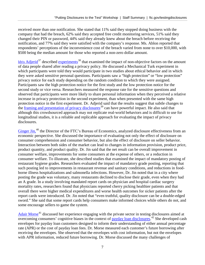received more than one notification. She stated that 11% said they stopped doing business with the company that had the breach, 62% said they accepted free credit monitoring services, 51% said they changed their PIN or password, 44% said they already knew about the breach before receiving the notification, and 77% said they were satisfied with the company's response. Ms. Ablon reported that respondents' perceptions of the inconvenience cost of the breach varied from none to over \$10,000, with \$500 being the median amount for those who reported a non-zero dollar amount.

[Idris Adjerid](http://mendoza.nd.edu/research-and-faculty/directory/idris-adjerid/)<sup>[37](#page-16-36)</sup> described [experiments](http://papers.ssrn.com/sol3/papers.cfm?abstract_id=2765097)<sup>[38](#page-16-37)</sup> that examined the impact of non-objective factors on the amount of data people shared after reading a privacy policy. He discussed a Mechanical Turk experiment in which participants were told they would participate in two studies about ethical behavior and in which they were asked sensitive personal questions. Participants saw a "high protection" or "low protection" privacy notice for each study depending on the random condition to which they were assigned. Participants saw the high protection notice for the first study and the low protection notice for the second study or vice versa. Researchers measured the response rate for the sensitive questions and observed that participants were more likely to share personal information when they perceived a relative increase in privacy protection in the second experiment, than when presented with the same high protection notice in the first experiment. Dr. Adjerid said that the results suggest that subtle changes to the [framing and presentation of privacy disclosures](https://cups.cs.cmu.edu/soups/2013/proceedings/a9_Adjerid.pdf)<sup>[39](#page-16-38)</sup> can have powerful impact. He also said that although this crowdsourced approach may not replicate real-world behaviors and is difficult to use for longitudinal studies, it is a reliable and replicable approach for evaluating the impact of privacy disclosures.

[Ginger Jin,](https://www.ftc.gov/about-ftc/biographies/ginger-zhe-jin)<sup>[40](#page-16-39)</sup> the Director of the FTC's Bureau of Economics, analyzed disclosure effectiveness from an economic perspective. She discussed the importance of evaluating not only the effect of disclosure on consumer comprehension and consumer behavior, but also the effect of disclosure on seller behavior. Interaction between both sides of the market can lead to changes in information provision, product price, product quantity, and product quality. Dr. Jin said that the net result can be overall improvement in consumer welfare, improvements for some consumers at the expense of others, or a reduction in consumer welfare. To illustrate, she described studies that examined the impact of mandatory posting of restaurant hygiene grades. Researchers evaluated the impact of mandatory grade posting, reporting that such posting led to improvements in restaurant revenue and sanitary conditions, and reductions in foodborne illness hospitalizations and salmonella infections. However, Dr. Jin noted that in a city where posting the grade was voluntary, many restaurants declined to disclose their grade, even when they had an A grade. In a study involving mandated report cards on physician and hospital cardiac surgery mortality rates, researchers found that physicians reported cherry picking healthier patients and that overall there were higher medical expenditures and worse health outcomes for sicker patients after the report cards were introduced. Dr. Jin noted that "even truthful, quality disclosure can be a double-edged sword." She said that some report cards help consumers make informed choices while others do not, and some encourage sellers to game the system.

[Adair Morse](http://facultybio.haas.berkeley.edu/faculty-list/morse-adair/)<sup>[41](#page-16-40)</sup> discussed her experience engaging with the private sector in testing disclosures aimed at overcoming consumers' cognitive biases in the context of [payday loan disclosures.](http://faculty.haas.berkeley.edu/morse/research/papers/BertrandMorsePaydayFieldExpJuly2010.pdf)<sup>[42](#page-16-41)</sup> She developed cash envelopes for payday loan customers designed to inform their understanding of either annual percentage rate (APR) or the cost of payday loan fees. Dr. Morse measured each customer's future borrowing after receiving the envelopes. She observed that the envelopes with cost information, but not the envelopes with APR information, reduced future borrowing. Dr. Morse discussed the many challenges of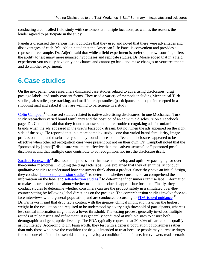conducting a controlled field study with customers at multiple locations, as well as the reasons the lender agreed to participate in the study.

Panelists discussed the various methodologies that they used and noted that there were advantages and disadvantages of each. Ms. Ablon noted that the American Life Panel is convenient and provides a representative sample. Dr. Adjerid said that while a field experiment is preferred, crowdsourcing offers the ability to test many more nuanced hypotheses and replicate studies. Dr. Morse added that in a field experiment you usually have only one chance and cannot go back and make changes to your treatments and do another experiment.

#### <span id="page-9-0"></span>**6.Case studies**

On the next panel, four researchers discussed case studies related to advertising disclosures, drug package labels, and study consent forms. They used a variety of methods including Mechanical Turk studies, lab studies, eye tracking, and mall-intercept studies (participants are people intercepted in a shopping mall and asked if they are willing to participate in a study).

[Colin Campbell](https://www.kent.edu/business/colin-campbell-phd)<sup>[43](#page-16-42)</sup> discussed studies related to native advertising disclosures. In one Mechanical Turk study researchers varied brand familiarity and the position of an ad with a disclosure on a Facebook page. Dr. Campbell said that they found that users had more trouble recognizing ads for unfamiliar brands when the ads appeared in the user's Facebook stream, but not when the ads appeared on the right side of the page. He reported that in a more complex study – one that varied brand familiarity, image professionalism, and disclosure type – they found a threshold effect: ad disclosures appeared to be effective when other ad recognition cues were present but not on their own. Dr. Campbell noted that the "promoted by [brand]" disclosure was more effective than the "advertisement" or "sponsored post" disclosures and that multiple cues contribute to ad recognition, not just the disclosure itself.

[Sarah J. Farnsworth](http://pegus.com/executiveleadership.html)<sup>[44](#page-16-43)</sup> discussed the process her firm uses to develop and optimize packaging for overthe-counter medicines, including the drug facts label. She explained that they often initially conduct qualitative studies to understand how consumers think about a product. Once they have an initial design, they conduct [label comprehension studies](http://www.accessdata.fda.gov/scripts/cder/training/OTC/topic3/topic3/da_01_03_0170.htm)<sup>[45](#page-16-44)</sup> to determine whether consumers can comprehend the information on the label and [self-selection studies](http://www.fda.gov/downloads/drugs/guidancecomplianceregulatoryinformation/guidances/ucm272122.pdf)<sup>[46](#page-16-45)</sup> to determine if consumers can use label information to make accurate decisions about whether or not the product is appropriate for them. Finally, they conduct studies to determine whether consumers can use the product safely in a simulated over-thecounter setting by following label directions on the package. The comprehension studies involve face-toface interviews with a general population, and are conducted according to **FDA-issued guidance**.<sup>[47](#page-16-0)</sup> Dr. Farnsworth said that drug facts content with the greatest clinical implication is given the highest weight in the evaluation and required to be understood by a very high threshold of participants, whereas less critical information might have a lower threshold. The testing process generally involves multiple rounds of pilot testing and refinement. It is generally conducted at multiple sites to ensure both demographic and geographic diversity. The FDA typically requests that 20-30% of participants qualify as low literacy. According to Dr. Farnsworth, they test with a general population of consumers rather than only those who have the condition the drug is intended to treat because people may purchase drugs for someone else in the household and may develop a condition in the future. Interviewers read scenario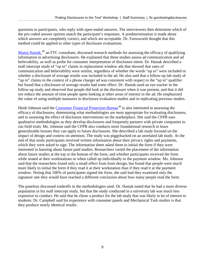questions to participants, who reply with open-ended answers. The interviewers then determine which of the pre-coded answer options match the participant's responses. A predetermination is made about which answers are completely correct, and which are acceptable. Dr. Farnsworth thought that this method could be applied to other types of disclosure evaluations.

[Manoj Hastak,](http://www.american.edu/kogod/faculty/mhastak.cfm)<sup>[48](#page-16-1)</sup> an FTC consultant, discussed research methods for assessing the efficacy of qualifying information in advertising disclosures. He explained that these studies assess ad communication and ad believability, as well as probe for consumer interpretation of disclosure intent. Dr. Hastak described a mall intercept study of "up to" claims in replacement window ads that showed that rates of communication and believability were similar, regardless of whether the words "up to" were included or whether a disclosure of average results was included in the ad. He also said that a follow-up lab study of "up to" claims in the context of a phone charger ad was consistent with respect to the "up to" qualifier but found that a disclosure of average results had some effect. Dr. Hastak used an eye tracker in the follow-up study and observed that people did look at the disclosure when it was present, and that it did not reduce the amount of time people spent looking at other areas of interest in the ad. He emphasized the value of using multiple measures in disclosure evaluation studies and in replicating previous studies.

Heidi Johnson said the [Consumer Financial Protection Bureau](http://www.consumerfinance.gov/)<sup>[49](#page-16-2)</sup> is also interested in assessing the efficacy of disclosures, determining what methodologies are most appropriate for evaluating disclosures, and in assessing the effect of disclosure interventions on the marketplace. She said the CFPB uses qualitative methodologies as they develop disclosures and frequently partners with private companies to run field trials. Ms. Johnson said the CFPB also conducts more foundational research to learn generalizable lessons they can apply to future disclosures. She described a lab study focused on the impact of design and context on attention. The study was piggybacked on an unrelated lab study. At the end of that study participants received written information about their privacy rights and payments, which they were asked to sign. The information sheet asked them to initial the form if they were interested in learning about future paid studies. Researchers varied the placement of the information about future studies at the top or the bottom of the form, and whether participants received the form while seated at their workstations or when called up individually to the payment window. Ms. Johnson said that the researchers found only a small effect from form design, but found that people were much more likely to initial the form if they read it at their workstation than if they read it at the payment window. Noting that 100% of participants signed the form, she said had they examined only the signature rate they would have reached a different conclusion about how many people read the form.

The panelists discussed tradeoffs in the methodologies used. Dr. Hastak noted that he had a more diverse population in his mall intercept study, but that the study conducted in a university lab was much less expensive to conduct. He said that he chose a product for the lab study that was likely to be of interest to students. Dr. Campbell said his experience with consumer panels and Mechanical Turk studies is that they produce nearly identical results.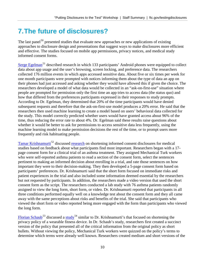# <span id="page-11-0"></span>**7.The future of disclosures?**

The last panel<sup>[50](#page-16-3)</sup> presented studies that evaluate new approaches or new applications of existing approaches to disclosure design and presentations that suggest ways to make disclosures more efficient and effective. The studies focused on mobile app permissions, privacy notices, and medical study informed consent forms.

[Serge Egelman](http://www.guanotronic.com/%7Eserge/)<sup>[51](#page-16-46)</sup> described research in which 133 participants' Android phones were equipped to collect data about app usage and the user's browsing, screen locking, and preference data. The researchers collected 176 million events in which apps accessed sensitive data. About five or six times per week for one month participants were prompted with notices informing them about the type of data an app on their phones had just accessed and asking whether they would have allowed this if given the choice. The researchers developed a model of what data would be collected in an "ask-on-first-use" situation where people are prompted for permission only the first time an app tries to access data (the status quo) and how that differed from the preferences participants expressed in their responses to study prompts. According to Dr. Egelman, they determined that 20% of the time participants would have denied subsequent requests and therefore that the ask-on-first-use model produces a 20% error. He said that the researchers then used machine learning to create a model based on users' behavioral data collected for the study. This model correctly predicted whether users would have granted access about 96% of the time, thus reducing the error rate to about 4%. Dr. Egelman said these results raise questions about whether it would be better to ask for permissions to access sensitive data less frequently, using the machine learning model to make permission decisions the rest of the time, or to prompt users more frequently and risk habituating people.

[Tamar Krishnamurti](https://www.cmu.edu/epp/people/faculty/tamar-krishnamurti.html)<sup>[52](#page-16-5)</sup> discussed [research](http://mdm.sagepub.com/content/36/6/726) on shortening informed consent disclosures for medical studies based on feedback about what participants find most important. Researchers began with a 17 page consent form for a clinical trial of an asthma treatment. They assigned Mechanical Turk workers who were self-reported asthma patients to read a section of the consent form, select the sentences pertinent to making an informed decision about enrolling in a trial, and rate those sentences on how important they were to their decision-making. They then developed a 5-page consent form based on participants' preferences. Dr. Krishnamurti said that the short form focused on immediate risks and patient experiences in the trial and also included some information deemed essential by the researchers but not requested by participants. In addition, the researchers made a video version that used the short consent form as the script. The researchers conducted a lab study with 76 asthma patients randomly assigned to view the long form, short form, or video. Dr. Krishnamurti reported that participants in all three conditions performed equally well on a knowledge test about the consent form and they all came away with the same perceptions about risks and benefits of the trial. She said that participants who viewed the short form or video reported being more engaged with the form than participants who viewed the long form.

[Florian Schaub](https://www.si.umich.edu/people/florian-schaub)<sup>[53](#page-16-6)</sup> discussed a [study](https://www.usenix.org/conference/soups2016/technical-sessions/presentation/gluck)<sup>[54](#page-16-7)</sup> similar to Dr. Krishnamurti's that focused on shortening the privacy policy of a wearable fitness device. In Dr. Schaub's study, researchers first created a succinct version of the policy that presented all of the critical information from the original policy as short bullets. Without viewing the policy, Mechanical Turk workers were quizzed on the policy's terms to determine which terms were already well known. Researchers created medium and short versions of the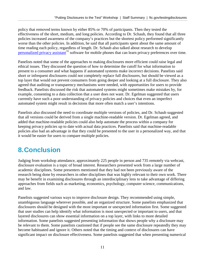policy that removed terms known by either 85% or 70% of participants. Then they tested the effectiveness of the short, medium, and long policies. According to Dr. Schaub, they found that all three policies increased awareness of the company's practices but the shortest policy performed significantly worse than the other policies. In addition, he said that all participants spent about the same amount of time reading each policy, regardless of length. Dr. Schaub also talked about research to develop [personalized privacy assistant](https://www.usenix.org/conference/soups2016/technical-sessions/presentation/liu)<sup>[55](#page-16-47)</sup> software for mobile phones that can learn privacy preferences over time.

Panelists noted that some of the approaches to making disclosures more efficient could raise legal and ethical issues. They discussed the question of how to determine the cutoff for what information to present to a consumer and what happens if automated systems make incorrect decisions. Panelists said short or infrequent disclosures could not completely replace full disclosures, but should be viewed as a top layer that would not prevent consumers from going deeper and looking at a full disclosure. They also agreed that auditing or transparency mechanisms were needed, with opportunities for users to provide feedback. Panelists discussed the risk that automated systems might sometimes make mistakes by, for example, consenting to a data collection that a user does not want. Dr. Egelman suggested that users currently have such a poor understanding of privacy policies and choices that even an imperfect automated system might result in decisions that more often match a user's intentions.

Panelists also discussed the need to coordinate multiple versions of policies, and Dr. Schaub suggested that all versions could be derived from a single machine-readable version. Dr. Egelman agreed, and added that machine-readable policies could also help automate the process within a company for keeping privacy policies up to date with actual data practices. Panelists said that machine-readable policies also had an advantage in that they could be presented to the user in a personalized way, and that it would be easier for users to compare multiple policies.

# <span id="page-12-0"></span>**8.Conclusion**

Judging from workshop attendance, approximately 225 people in person and 735 remotely via webcast, disclosure evaluation is a topic of broad interest. Researchers presented work from a large number of academic disciplines. Some presenters mentioned that they had not been previously aware of the research being done by researchers in other disciplines that was highly relevant to their own work. There may be benefit in examining disclosures through an interdisciplinary lens to take advantage of differing approaches from fields such as marketing, economics, psychology, computer science, communications, and law.

Panelists suggested various ways to improve disclosure design. They recommended using simple, unambiguous language wherever possible, and an organized structure. Some panelists emphasized that disclosures should be designed with the most important or unexpected information first. Some suggested that user studies can help identify what information is most unexpected or important to users, and that layered disclosures can show essential information on a top layer, with links to more detailed information. Some panelists suggested presenting information that shows people why a disclosure may be relevant to them. Some panelists cautioned that if people see the same disclosure repeatedly they may become habituated and ignore it. Others noted that the timing and context of disclosures can have significant impact on disclosure effectiveness. Some panelists suggested that when presenting numerical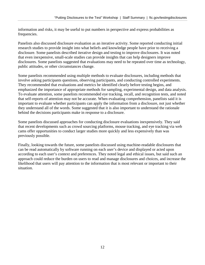information and risks, it may be useful to put numbers in perspective and express probabilities as frequencies.

Panelists also discussed disclosure evaluation as an iterative activity. Some reported conducting initial research studies to provide insight into what beliefs and knowledge people have prior to receiving a disclosure. Some panelists described iterative design and testing to improve disclosures. It was noted that even inexpensive, small-scale studies can provide insights that can help designers improve disclosures. Some panelists suggested that evaluations may need to be repeated over time as technology, public attitudes, or other circumstances change.

Some panelists recommended using multiple methods to evaluate disclosures, including methods that involve asking participants questions, observing participants, and conducting controlled experiments. They recommended that evaluations and metrics be identified clearly before testing begins, and emphasized the importance of appropriate methods for sampling, experimental design, and data analysis. To evaluate attention, some panelists recommended eye tracking, recall, and recognition tests, and noted that self-reports of attention may not be accurate. When evaluating comprehension, panelists said it is important to evaluate whether participants can apply the information from a disclosure, not just whether they understand all of the words. Some suggested that it is also important to understand the rationale behind the decisions participants make in response to a disclosure.

Some panelists discussed approaches for conducting disclosure evaluations inexpensively. They said that recent developments such as crowd sourcing platforms, mouse tracking, and eye tracking via web cams offer opportunities to conduct larger studies more quickly and less expensively than was previously possible.

Finally, looking towards the future, some panelists discussed using machine-readable disclosures that can be read automatically by software running on each user's device and displayed or acted upon according to each user's context and preferences. They noted legal and ethical issues, but said such an approach could reduce the burden on users to read and manage disclosures and choices, and increase the likelihood that users will pay attention to the information that is most relevant or important to their situation.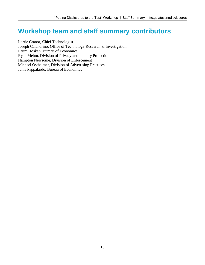#### <span id="page-14-0"></span>**Workshop team and staff summary contributors**

Lorrie Cranor, Chief Technologist Joseph Calandrino, Office of Technology Research & Investigation Laura Hosken, Bureau of Economics Ryan Mehm, Division of Privacy and Identity Protection Hampton Newsome, Division of Enforcement Michael Ostheimer, Division of Advertising Practices Janis Pappalardo, Bureau of Economics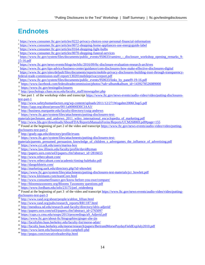# <span id="page-15-0"></span>**Endnotes**

- 
- 
- 
- 
- <sup>1</sup><br><https://www.consumer.ftc.gov/articles/0222-privacy-choices-your-personal-financial-information><br><sup>2</sup><br><https://www.consumer.ftc.gov/articles/0072-shopping-home-appliances-use-energyguide-label><br><sup>3</sup><br>https://www.consumer.ftc.
- 
- 
- $\frac{1}{2} \frac{1}{2} \frac{N_{\text{H}}}{N_{\text{H}}}\frac{1}{N_{\text{H}}}\frac{N_{\text{H}}}{N_{\text{H}}}\frac{N_{\text{H}}}{N_{\text{H}}}\frac{N_{\text{H}}}{N_{\text{H}}}\frac{N_{\text{H}}}{N_{\text{H}}}\frac{N_{\text{H}}}{N_{\text{H}}}\frac{N_{\text{H}}}{N_{\text{H}}}\frac{N_{\text{H}}}{N_{\text{H}}}\frac{N_{\text{H}}}{N_{\text{H}}}\frac{N_{\text{H}}}{N_{\text{H}}}\frac{N_{\text{H}}}{N_{\$
- 
- 
- 
- 
- <sup>9</sup>[https://www.ftc.gov/system/files/documents/public\\_events/950633/links\\_by\\_panel9-19-16.pdf](https://www.ftc.gov/system/files/documents/public_events/950633/links_by_panel9-19-16.pdf)<br><sup>10</sup>[https://www.facebook.com/federaltradecommission/photos/?tab=album&album\\_id=1439278526089000](https://www.facebook.com/federaltradecommission/photos/?tab=album&album_id=1439278526089000)<br><sup>11</sup>https://www.ftc.gov/testingdi
- <sup>14</sup> <http://www.safetyhumanfactors.org/wp-content/uploads/2011/12/271Wogalter2006Chap5.pdf><br>
<sup>15</sup> https://iapp.org/about/person/0011a00000DIICIAA3/<br>
<sup>16</sup> <http://business.marquette.edu/faculty/directory/craig-andrews><br>
<sup>17</sup> h
- 
- 
- 
- [materials/pechmann\\_and\\_andrews\\_2011\\_wiley\\_international\\_encyclopedia\\_of\\_marketing.pdf](https://www.ftc.gov/system/files/attachments/putting-disclosures-test-materials/pechmann_and_andrews_2011_wiley_international_encyclopedia_of_marketing.pdf)
- 18 <http://www.fda.gov/downloads/AboutFDA/ReportsManualsForms/Reports/UCM268069.pdf#page=155>
- <sup>19</sup> Found at the beginning of part 2 of the video and transcript [https://www.ftc.gov/news-events/audio-video/video/putting](https://www.ftc.gov/news-events/audio-video/video/putting-disclosures-test-part-2)[disclosures-test-part-2](https://www.ftc.gov/news-events/audio-video/video/putting-disclosures-test-part-2)<br>
<sup>20</sup> <http://grady.uga.edu/directory/profile/evans><br>
<sup>21</sup> [https://www.ftc.gov/system/files/attachments/putting-disclosures-test-](https://www.ftc.gov/system/files/attachments/putting-disclosures-test-materials/parents_presumed_persuasion_knowledge_of_children_s_advergames_the_influence_of_advertising.pdf)
- 
- 
- [materials/parents\\_presumed\\_persuasion\\_knowledge\\_of\\_children\\_s\\_advergames\\_the\\_influence\\_of\\_advertising.pdf](https://www.ftc.gov/system/files/attachments/putting-disclosures-test-materials/parents_presumed_persuasion_knowledge_of_children_s_advergames_the_influence_of_advertising.pdf)<br>
<sup>22</sup> <https://www.cci.utk.edu/users/mariea-hoy><br>
<sup>23</sup> <https://www.law.illinois.edu/faculty/profile/davidhyman><br>
<sup>24</sup> h
- 
- 
- 
- 
- 
- 
- 
- 
- 
- 
- 
- 

<sup>30</sup><br><http://www.kleimann.com/teamCore.html><br><sup>31</sup><br><http://www.consumerfinance.gov/know-before-you-owe/compare/><br><sup>32</sup> [http://bloomstaxonomy.org/Blooms Taxonomy questions.pdf](http://bloomstaxonomy.org/Blooms%20Taxonomy%20questions.pdf)<br><sup>33</sup> https://www.fordham.edu/info/23175/joel\_reidenbe

- 
- 
- [disclosures-test-part-3](https://www.ftc.gov/news-events/audio-video/video/putting-disclosures-test-part-3)<br>
<sup>35</sup> [http://www.rand.org/about/people/a/ablon\\_lillian.html](http://www.rand.org/about/people/a/ablon_lillian.html)<br>
<sup>36</sup> [http://www.rand.org/pubs/research\\_reports/RR1187.html](http://www.rand.org/pubs/research_reports/RR1187.html)<br>
<sup>37</sup> <http://mendoza.nd.edu/research-and-faculty/directory/idris-adjerid/><br>
<sup>38</sup>
- 
- 
- 
- 
- 40<br> <https://www.ftc.gov/about-ftc/biographies/ginger-zhe-jin><br>
41<br> <http://facultybio.haas.berkeley.edu/faculty-list/morse-adair/><br>
42<br>
http://faculty.haas.berkeley.edu/morse/research/papers/BertrandMorsePaydayFieldExpJuly201
- 
-